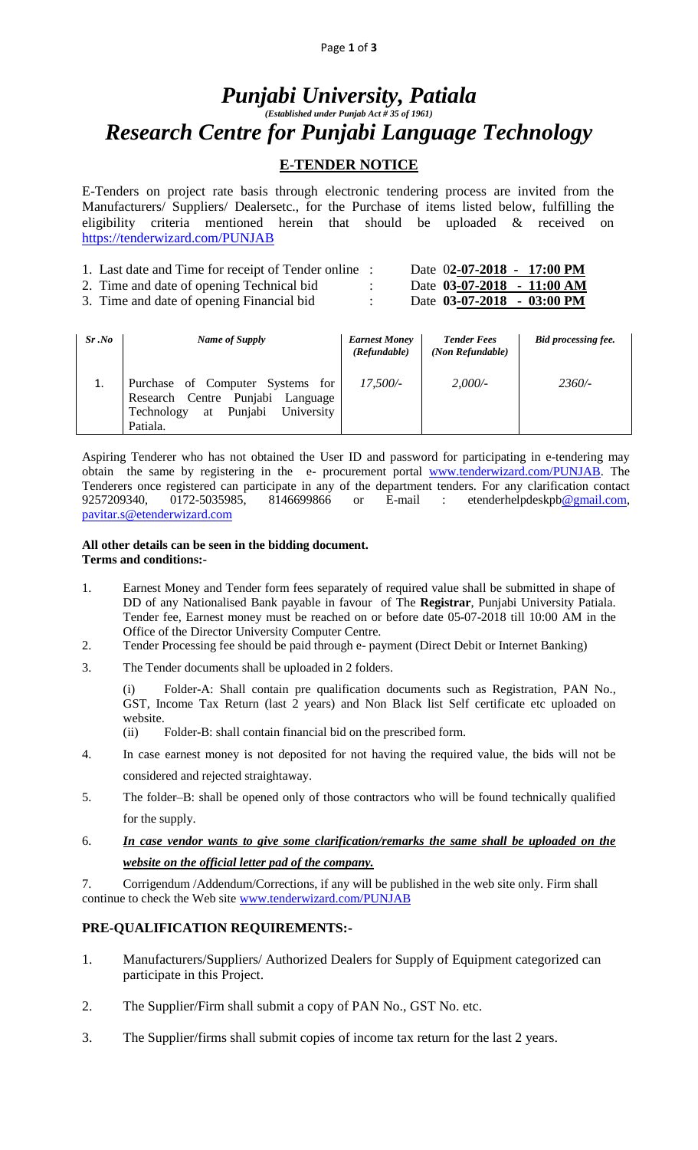# *Punjabi University, Patiala (Established under Punjab Act # 35 of 1961) Research Centre for Punjabi Language Technology*

## **E-TENDER NOTICE**

E-Tenders on project rate basis through electronic tendering process are invited from the Manufacturers/ Suppliers/ Dealersetc., for the Purchase of items listed below, fulfilling the eligibility criteria mentioned herein that should be uploaded & received on <https://tenderwizard.com/PUNJAB>

| 1. Last date and Time for receipt of Tender online : | Date 02-07-2018 - 17:00 PM |
|------------------------------------------------------|----------------------------|
| 2. Time and date of opening Technical bid            | Date 03-07-2018 - 11:00 AM |
| 3. Time and date of opening Financial bid.           | Date 03-07-2018 - 03:00 PM |

| $Sr$ .No | Name of Supply                                                                                                                   | <b>Earnest Money</b><br>(Refundable) | <b>Tender Fees</b><br>(Non Refundable) | <b>Bid processing fee.</b> |
|----------|----------------------------------------------------------------------------------------------------------------------------------|--------------------------------------|----------------------------------------|----------------------------|
| 1.       | Purchase of Computer Systems for<br>Research Centre Punjabi<br>Language<br>Punjabi<br>University<br>Technology<br>at<br>Patiala. | $17,500/-$                           | 2,000/                                 | $2360/-$                   |

Aspiring Tenderer who has not obtained the User ID and password for participating in e-tendering may obtain the same by registering in the e- procurement portal [www.tenderwizard.com/PUNJAB.](http://www.tenderwizard.com/PUNJAB) The Tenderers once registered can participate in any of the department tenders. For any clarification contact 9257209340, 0172-5035985, 8146699866 or E-mail : etenderhelpdeskp[b@gmail.com,](mailto:@gmail.com) [pavitar.s@etenderwizard.com](mailto:pavitar.s@etenderwizard.com)

#### **All other details can be seen in the bidding document. Terms and conditions:-**

- 1. Earnest Money and Tender form fees separately of required value shall be submitted in shape of DD of any Nationalised Bank payable in favour of The **Registrar**, Punjabi University Patiala. Tender fee, Earnest money must be reached on or before date 05-07-2018 till 10:00 AM in the Office of the Director University Computer Centre.
- 2. Tender Processing fee should be paid through e- payment (Direct Debit or Internet Banking)
- 3. The Tender documents shall be uploaded in 2 folders.

Folder-A: Shall contain pre qualification documents such as Registration, PAN No., GST, Income Tax Return (last 2 years) and Non Black list Self certificate etc uploaded on website.

- (ii) Folder-B: shall contain financial bid on the prescribed form.
- 4. In case earnest money is not deposited for not having the required value, the bids will not be considered and rejected straightaway.
- 5. The folder–B: shall be opened only of those contractors who will be found technically qualified for the supply.
- 6. *In case vendor wants to give some clarification/remarks the same shall be uploaded on the website on the official letter pad of the company.*

7. Corrigendum /Addendum/Corrections, if any will be published in the web site only. Firm shall continue to check the Web site [www.tenderwizard.com/PUNJAB](http://www.tenderwizard.com/PUNJAB)

## **PRE-QUALIFICATION REQUIREMENTS:-**

- 1. Manufacturers/Suppliers/ Authorized Dealers for Supply of Equipment categorized can participate in this Project.
- 2. The Supplier/Firm shall submit a copy of PAN No., GST No. etc.
- 3. The Supplier/firms shall submit copies of income tax return for the last 2 years.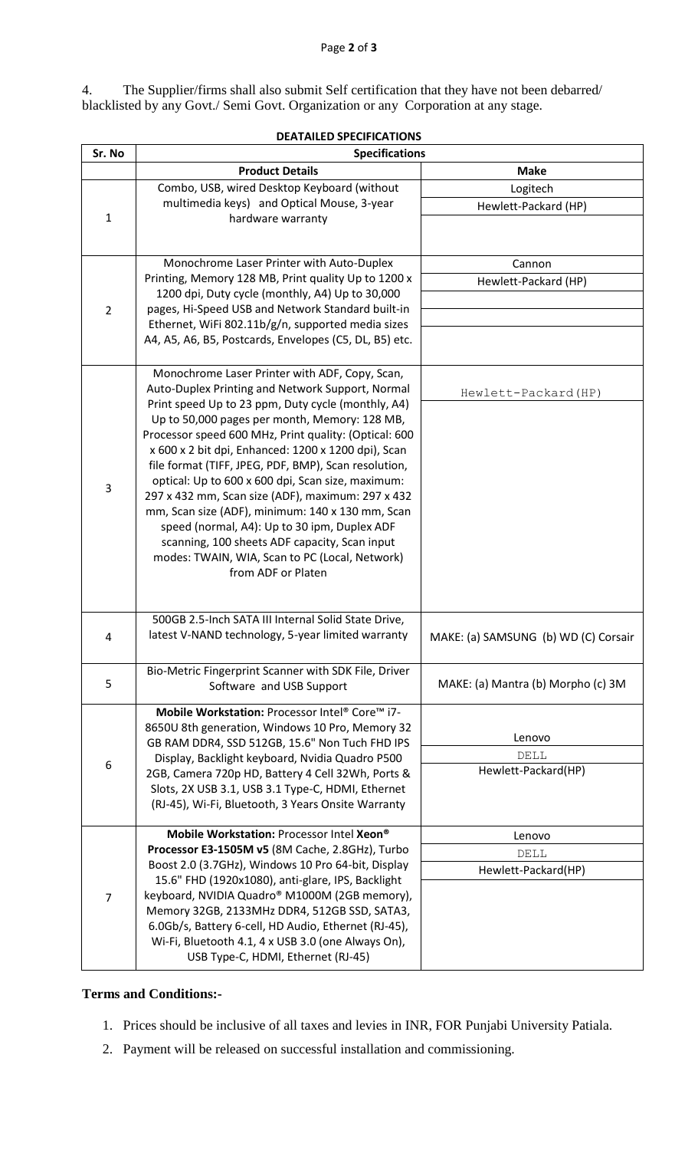4. The Supplier/firms shall also submit Self certification that they have not been debarred/ blacklisted by any Govt./ Semi Govt. Organization or any Corporation at any stage.

| <b>DEATAILED SPECIFICATIONS</b> |                                                                                                                                                    |                                      |  |  |  |  |  |
|---------------------------------|----------------------------------------------------------------------------------------------------------------------------------------------------|--------------------------------------|--|--|--|--|--|
| Sr. No                          | <b>Specifications</b>                                                                                                                              |                                      |  |  |  |  |  |
|                                 | <b>Product Details</b>                                                                                                                             | <b>Make</b>                          |  |  |  |  |  |
|                                 | Combo, USB, wired Desktop Keyboard (without                                                                                                        | Logitech                             |  |  |  |  |  |
|                                 | multimedia keys) and Optical Mouse, 3-year                                                                                                         | Hewlett-Packard (HP)                 |  |  |  |  |  |
| 1                               | hardware warranty                                                                                                                                  |                                      |  |  |  |  |  |
|                                 |                                                                                                                                                    |                                      |  |  |  |  |  |
|                                 | Monochrome Laser Printer with Auto-Duplex                                                                                                          | Cannon                               |  |  |  |  |  |
|                                 | Printing, Memory 128 MB, Print quality Up to 1200 x                                                                                                | Hewlett-Packard (HP)                 |  |  |  |  |  |
|                                 | 1200 dpi, Duty cycle (monthly, A4) Up to 30,000                                                                                                    |                                      |  |  |  |  |  |
| $\overline{2}$                  | pages, Hi-Speed USB and Network Standard built-in                                                                                                  |                                      |  |  |  |  |  |
|                                 | Ethernet, WiFi 802.11b/g/n, supported media sizes<br>A4, A5, A6, B5, Postcards, Envelopes (C5, DL, B5) etc.                                        |                                      |  |  |  |  |  |
|                                 |                                                                                                                                                    |                                      |  |  |  |  |  |
|                                 | Monochrome Laser Printer with ADF, Copy, Scan,                                                                                                     |                                      |  |  |  |  |  |
|                                 | Auto-Duplex Printing and Network Support, Normal                                                                                                   | Hewlett-Packard (HP)                 |  |  |  |  |  |
|                                 | Print speed Up to 23 ppm, Duty cycle (monthly, A4)                                                                                                 |                                      |  |  |  |  |  |
|                                 | Up to 50,000 pages per month, Memory: 128 MB,                                                                                                      |                                      |  |  |  |  |  |
|                                 | Processor speed 600 MHz, Print quality: (Optical: 600<br>x 600 x 2 bit dpi, Enhanced: 1200 x 1200 dpi), Scan                                       |                                      |  |  |  |  |  |
|                                 | file format (TIFF, JPEG, PDF, BMP), Scan resolution,                                                                                               |                                      |  |  |  |  |  |
|                                 | optical: Up to 600 x 600 dpi, Scan size, maximum:                                                                                                  |                                      |  |  |  |  |  |
| 3                               | 297 x 432 mm, Scan size (ADF), maximum: 297 x 432                                                                                                  |                                      |  |  |  |  |  |
|                                 | mm, Scan size (ADF), minimum: 140 x 130 mm, Scan                                                                                                   |                                      |  |  |  |  |  |
|                                 | speed (normal, A4): Up to 30 ipm, Duplex ADF                                                                                                       |                                      |  |  |  |  |  |
|                                 | scanning, 100 sheets ADF capacity, Scan input                                                                                                      |                                      |  |  |  |  |  |
|                                 | modes: TWAIN, WIA, Scan to PC (Local, Network)                                                                                                     |                                      |  |  |  |  |  |
|                                 | from ADF or Platen                                                                                                                                 |                                      |  |  |  |  |  |
|                                 |                                                                                                                                                    |                                      |  |  |  |  |  |
|                                 | 500GB 2.5-Inch SATA III Internal Solid State Drive,                                                                                                |                                      |  |  |  |  |  |
| 4                               | latest V-NAND technology, 5-year limited warranty                                                                                                  | MAKE: (a) SAMSUNG (b) WD (C) Corsair |  |  |  |  |  |
|                                 | Bio-Metric Fingerprint Scanner with SDK File, Driver                                                                                               |                                      |  |  |  |  |  |
| 5                               | Software and USB Support                                                                                                                           | MAKE: (a) Mantra (b) Morpho (c) 3M   |  |  |  |  |  |
|                                 | Mobile Workstation: Processor Intel® Core™ i7-                                                                                                     |                                      |  |  |  |  |  |
|                                 | 8650U 8th generation, Windows 10 Pro, Memory 32                                                                                                    |                                      |  |  |  |  |  |
|                                 | GB RAM DDR4, SSD 512GB, 15.6" Non Tuch FHD IPS                                                                                                     | Lenovo                               |  |  |  |  |  |
| 6                               | Display, Backlight keyboard, Nvidia Quadro P500                                                                                                    | DELL<br>Hewlett-Packard(HP)          |  |  |  |  |  |
|                                 | 2GB, Camera 720p HD, Battery 4 Cell 32Wh, Ports &<br>Slots, 2X USB 3.1, USB 3.1 Type-C, HDMI, Ethernet                                             |                                      |  |  |  |  |  |
|                                 | (RJ-45), Wi-Fi, Bluetooth, 3 Years Onsite Warranty                                                                                                 |                                      |  |  |  |  |  |
|                                 |                                                                                                                                                    |                                      |  |  |  |  |  |
|                                 | Mobile Workstation: Processor Intel Xeon®<br>Processor E3-1505M v5 (8M Cache, 2.8GHz), Turbo<br>Boost 2.0 (3.7GHz), Windows 10 Pro 64-bit, Display | Lenovo                               |  |  |  |  |  |
|                                 |                                                                                                                                                    | DELL                                 |  |  |  |  |  |
|                                 | 15.6" FHD (1920x1080), anti-glare, IPS, Backlight                                                                                                  | Hewlett-Packard(HP)                  |  |  |  |  |  |
| $\overline{7}$                  | keyboard, NVIDIA Quadro® M1000M (2GB memory),                                                                                                      |                                      |  |  |  |  |  |
|                                 | Memory 32GB, 2133MHz DDR4, 512GB SSD, SATA3,                                                                                                       |                                      |  |  |  |  |  |
|                                 | 6.0Gb/s, Battery 6-cell, HD Audio, Ethernet (RJ-45),                                                                                               |                                      |  |  |  |  |  |
|                                 | Wi-Fi, Bluetooth 4.1, 4 x USB 3.0 (one Always On),                                                                                                 |                                      |  |  |  |  |  |
|                                 | USB Type-C, HDMI, Ethernet (RJ-45)                                                                                                                 |                                      |  |  |  |  |  |

## **Terms and Conditions:-**

- 1. Prices should be inclusive of all taxes and levies in INR, FOR Punjabi University Patiala.
- 2. Payment will be released on successful installation and commissioning.